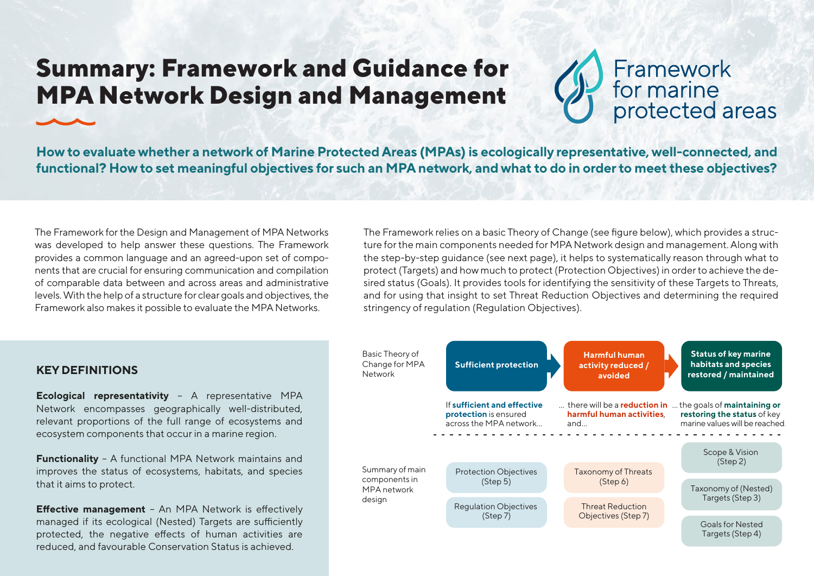## **Summary: Framework and Guidance for MPA Network Design and Management**



protected areas

**How to evaluate whether a network of Marine Protected Areas (MPAs) is ecologically representative, well-connected, and functional? How to set meaningful objectives for such an MPA network, and what to do in order to meet these objectives?**

The Framework for the Design and Management of MPA Networks was developed to help answer these questions. The Framework provides a common language and an agreed-upon set of components that are crucial for ensuring communication and compilation of comparable data between and across areas and administrative levels. With the help of a structure for clear goals and objectives, the Framework also makes it possible to evaluate the MPA Networks.

The Framework relies on a basic Theory of Change (see figure below), which provides a structure for the main components needed for MPA Network design and management. Along with the step-by-step guidance (see next page), it helps to systematically reason through what to protect (Targets) and how much to protect (Protection Objectives) in order to achieve the desired status (Goals). It provides tools for identifying the sensitivity of these Targets to Threats, and for using that insight to set Threat Reduction Objectives and determining the required stringency of regulation (Regulation Objectives).



## **KEY DEFINITIONS**

**Ecological representativity** – A representative MPA Network encompasses geographically well-distributed, relevant proportions of the full range of ecosystems and ecosystem components that occur in a marine region.

**Functionality** - A functional MPA Network maintains and improves the status of ecosystems, habitats, and species that it aims to protect.

**Effective management** - An MPA Network is effectively managed if its ecological (Nested) Targets are sufficiently protected, the negative effects of human activities are reduced, and favourable Conservation Status is achieved.